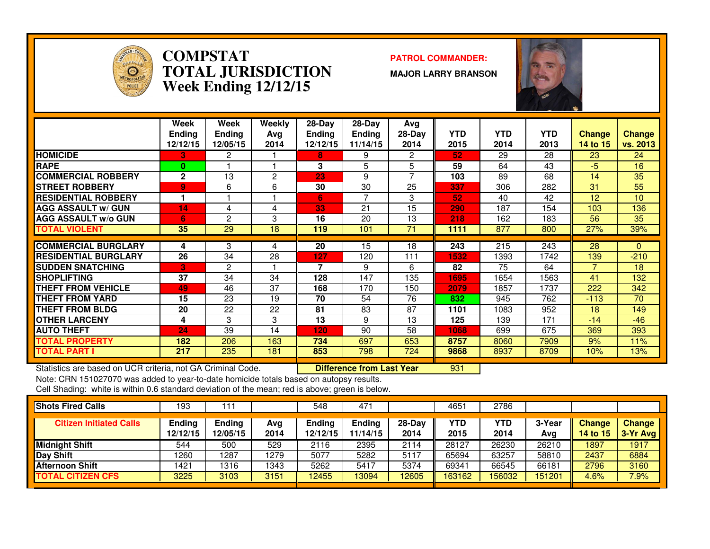

#### **COMPSTAT PATROL COMMANDER: TOTAL JURISDICTIONWeek Ending 12/12/15**

**MAJOR LARRY BRANSON**

<sup>931</sup>



|                             | Week<br><b>Ending</b><br>12/12/15 | Week<br><b>Ending</b><br>12/05/15 | Weekly<br>Avg<br>2014 | $28-Dav$<br><b>Ending</b><br>12/12/15 | $28$ -Day<br><b>Ending</b><br>11/14/15 | Avg<br>$28-Day$<br>2014 | <b>YTD</b><br>2015 | <b>YTD</b><br>2014 | <b>YTD</b><br>2013 | <b>Change</b><br>14 to 15 | <b>Change</b><br>vs. 2013 |
|-----------------------------|-----------------------------------|-----------------------------------|-----------------------|---------------------------------------|----------------------------------------|-------------------------|--------------------|--------------------|--------------------|---------------------------|---------------------------|
| <b>HOMICIDE</b>             | З.                                | $\mathbf{2}$                      |                       | 8                                     | 9                                      | 2                       | 52                 | 29                 | 28                 | 23                        | 24                        |
| <b>RAPE</b>                 | $\bf{0}$                          |                                   |                       | 3                                     | 5                                      | 5                       | 59                 | 64                 | 43                 | $-5$                      | 16                        |
| <b>COMMERCIAL ROBBERY</b>   | $\overline{2}$                    | 13                                | 2                     | 23                                    | 9                                      | 7                       | 103                | 89                 | 68                 | 14                        | 35                        |
| <b>STREET ROBBERY</b>       | 9                                 | 6                                 | 6                     | 30                                    | 30                                     | 25                      | 337                | 306                | 282                | 31                        | 55                        |
| <b>RESIDENTIAL ROBBERY</b>  |                                   |                                   |                       | 6                                     | 7                                      | 3                       | 52                 | 40                 | 42                 | 12                        | 10 <sup>10</sup>          |
| <b>AGG ASSAULT w/ GUN</b>   | 14                                | 4                                 | 4                     | 33                                    | 21                                     | 15                      | 290                | 187                | 154                | 103                       | 136                       |
| <b>AGG ASSAULT w/o GUN</b>  | 6                                 | 2                                 | 3                     | 16                                    | 20                                     | 13                      | 218                | 162                | 183                | 56                        | 35                        |
| <b>TOTAL VIOLENT</b>        | 35                                | 29                                | 18                    | 119                                   | 101                                    | 71                      | 1111               | 877                | 800                | 27%                       | 39%                       |
|                             |                                   |                                   |                       |                                       |                                        |                         |                    |                    |                    |                           |                           |
| <b>COMMERCIAL BURGLARY</b>  | 4                                 | 3                                 | 4                     | 20                                    | 15                                     | 18                      | 243                | 215                | 243                | 28                        | $\mathbf{0}$              |
| <b>RESIDENTIAL BURGLARY</b> | 26                                | 34                                | 28                    | 127                                   | 120                                    | 111                     | 1532               | 1393               | 1742               | 139                       | $-210$                    |
| <b>SUDDEN SNATCHING</b>     | ß,                                | 2                                 |                       | 7                                     | 9                                      | 6                       | 82                 | 75                 | 64                 |                           | 18                        |
| <b>SHOPLIFTING</b>          | 37                                | 34                                | 34                    | 128                                   | 147                                    | 135                     | 1695               | 1654               | 1563               | 41                        | 132                       |
| THEFT FROM VEHICLE          | 49                                | 46                                | 37                    | 168                                   | 170                                    | 150                     | 2079               | 1857               | 1737               | 222                       | 342                       |
| <b>THEFT FROM YARD</b>      | 15                                | 23                                | 19                    | 70                                    | 54                                     | 76                      | 832                | 945                | 762                | $-113$                    | 70                        |
| THEFT FROM BLDG             | 20                                | 22                                | 22                    | 81                                    | 83                                     | 87                      | 1101               | 1083               | 952                | 18                        | 149                       |
| <b>OTHER LARCENY</b>        | 4                                 | 3                                 | 3                     | 13                                    | 9                                      | 13                      | 125                | 139                | 171                | $-14$                     | $-46$                     |
| <b>AUTO THEFT</b>           | 24                                | 39                                | 14                    | 120                                   | 90                                     | 58                      | 1068               | 699                | 675                | 369                       | 393                       |
| TOTAL PROPERTY              | 182                               | 206                               | 163                   | 734                                   | 697                                    | 653                     | 8757               | 8060               | 7909               | 9%                        | 11%                       |
| <b>TOTAL PART I</b>         | 217                               | 235                               | 181                   | 853                                   | 798                                    | 724                     | 9868               | 8937               | 8709               | 10%                       | 13%                       |

Statistics are based on UCR criteria, not GA Criminal Code. **Difference from Last Year** 

Note: CRN 151027070 was added to year-to-date homicide totals based on autopsy results.

| <b>Shots Fired Calls</b>       | 193                       | -11                       |             | 548                | $47^{\circ}$              |                  | 4651               | 2786        |               |                           |                             |
|--------------------------------|---------------------------|---------------------------|-------------|--------------------|---------------------------|------------------|--------------------|-------------|---------------|---------------------------|-----------------------------|
| <b>Citizen Initiated Calls</b> | <b>Ending</b><br>12/12/15 | <b>Ending</b><br>12/05/15 | Avg<br>2014 | Ending<br>12/12/15 | <b>Ending</b><br>11/14/15 | $28-Day$<br>2014 | <b>YTD</b><br>2015 | YTD<br>2014 | 3-Year<br>Avg | Change<br><b>14 to 15</b> | <b>Change</b><br>$3-Yr$ Avg |
| <b>Midnight Shift</b>          | 544                       | 500                       | 529         | 2116               | 2395                      | 2114             | 28127              | 26230       | 26210         | 1897                      | 1917                        |
| Day Shift                      | 1260                      | 287                       | 1279        | 5077               | 5282                      | 5117             | 65694              | 63257       | 58810         | 2437                      | 6884                        |
| <b>Afternoon Shift</b>         | 1421                      | 1316                      | 1343        | 5262               | 5417                      | 5374             | 69341              | 66545       | 66181         | 2796                      | 3160                        |
| <b>TOTAL CITIZEN CFS</b>       | 3225                      | 3103                      | 3151        | 12455              | 13094                     | 12605            | 163162             | 56032       | 151201        | 4.6%                      | 7.9%                        |
|                                |                           |                           |             |                    |                           |                  |                    |             |               |                           |                             |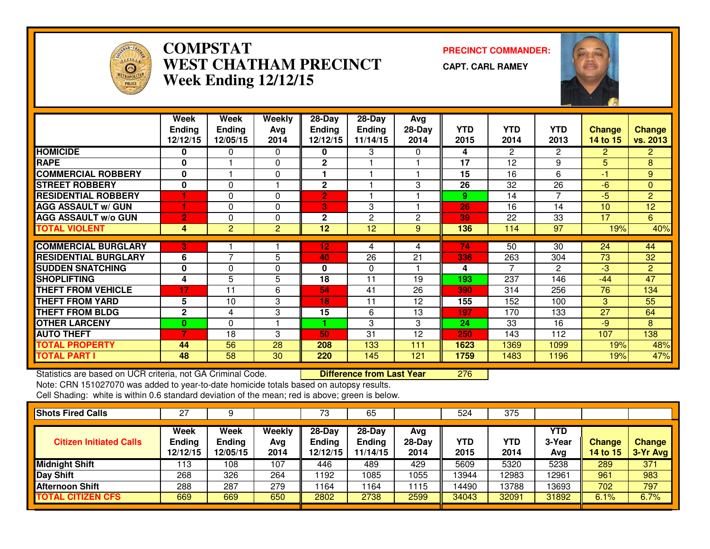

## **COMPSTAT PRECINCT COMMANDER: WEST CHATHAM PRECINCTWeek Ending 12/12/15**

**CAPT. CARL RAMEY**



|                             | Week           | Week            | <b>Weekly</b>  | $28 - Day$     | $28 - Day$    | Avg      |            |                       |                |                 |                |
|-----------------------------|----------------|-----------------|----------------|----------------|---------------|----------|------------|-----------------------|----------------|-----------------|----------------|
|                             | <b>Ending</b>  | <b>Ending</b>   | Avg            | <b>Ending</b>  | <b>Ending</b> | $28-Day$ | <b>YTD</b> | <b>YTD</b>            | <b>YTD</b>     | <b>Change</b>   | <b>Change</b>  |
|                             | 12/12/15       | 12/05/15        | 2014           | 12/12/15       | 11/14/15      | 2014     | 2015       | 2014                  | 2013           | <b>14 to 15</b> | vs. 2013       |
| <b>HOMICIDE</b>             | 0              | 0               | 0              | 0              | 3             | 0        | 4          | $\mathbf{2}^{\prime}$ | 2              | $\overline{2}$  | $\mathbf{2}$   |
| <b>RAPE</b>                 | 0              |                 | 0              | $\mathbf{2}$   |               |          | 17         | 12                    | 9              | 5               | 8              |
| <b>COMMERCIAL ROBBERY</b>   | 0              |                 | 0              |                |               |          | 15         | 16                    | 6              | -1              | 9              |
| <b>ISTREET ROBBERY</b>      | $\bf{0}$       | $\Omega$        |                | $\mathbf{2}$   |               | 3        | 26         | 32                    | 26             | $-6$            | $\overline{0}$ |
| <b>RESIDENTIAL ROBBERY</b>  |                | $\Omega$        | $\Omega$       | $\overline{2}$ |               |          | 9          | 14                    | $\overline{7}$ | $-5$            | $\overline{2}$ |
| <b>AGG ASSAULT W/ GUN</b>   |                | $\Omega$        | $\mathbf{0}$   | 3              | 3             |          | 26         | 16                    | 14             | 10              | 12             |
| <b>AGG ASSAULT w/o GUN</b>  | $\overline{2}$ | 0               | 0              | 2              | 2             | 2        | 39         | 22                    | 33             | 17              | 6              |
| <b>TOTAL VIOLENT</b>        | 4              | $\overline{2}$  | $\overline{2}$ | 12             | 12            | 9        | 136        | 114                   | 97             | 19%             | 40%            |
|                             |                |                 |                |                |               |          |            |                       |                |                 |                |
| <b>COMMERCIAL BURGLARY</b>  | 3              |                 |                | 12             | 4             | 4        | 74         | 50                    | 30             | 24              | 44             |
| <b>RESIDENTIAL BURGLARY</b> | 6              | $\overline{7}$  | 5              | 40             | 26            | 21       | 336        | 263                   | 304            | 73              | 32             |
| <b>SUDDEN SNATCHING</b>     | 0              | $\Omega$        | 0              | 0              | $\Omega$      |          | 4          |                       | $\overline{c}$ | $-3$            | $\overline{2}$ |
| <b>SHOPLIFTING</b>          | 4              | 5               | 5              | 18             | 11            | 19       | 193        | 237                   | 146            | $-44$           | 47             |
| <b>THEFT FROM VEHICLE</b>   | 17             | 11              | 6              | 54             | 41            | 26       | 390        | 314                   | 256            | 76              | 134            |
| <b>THEFT FROM YARD</b>      | 5              | 10              | 3              | 18             | 11            | 12       | 155        | 152                   | 100            | 3               | 55             |
| <b>THEFT FROM BLDG</b>      | $\mathbf{2}$   | 4               | 3              | 15             | 6             | 13       | 197        | 170                   | 133            | 27              | 64             |
| <b>OTHER LARCENY</b>        | 0              | $\Omega$        |                |                | 3             | 3        | 24         | 33                    | 16             | $-9$            | 8              |
| <b>AUTO THEFT</b>           | 7              | 18              | 3              | 50             | 31            | 12       | 250        | 143                   | 112            | 107             | 138            |
| <b>TOTAL PROPERTY</b>       | 44             | 56              | 28             | 208            | 133           | 111      | 1623       | 1369                  | 1099           | 19%             | 48%            |
| <b>TOTAL PART I</b>         | 48             | $\overline{58}$ | 30             | 220            | 145           | 121      | 1759       | 1483                  | 1196           | 19%             | 47%            |

Statistics are based on UCR criteria, not GA Criminal Code. **Difference from Last Year** <sup>276</sup>

Note: CRN 151027070 was added to year-to-date homicide totals based on autopsy results.

| <b>Shots Fired Calls</b>       | 27                                |                            |                       | 73                                    | 65                                  |                         | 524         | 375                |                      |                           |                           |
|--------------------------------|-----------------------------------|----------------------------|-----------------------|---------------------------------------|-------------------------------------|-------------------------|-------------|--------------------|----------------------|---------------------------|---------------------------|
| <b>Citizen Initiated Calls</b> | Week<br><b>Ending</b><br>12/12/15 | Week<br>Ending<br>12/05/15 | Weekly<br>Avg<br>2014 | $28-Day$<br><b>Ending</b><br>12/12/15 | 28-Day<br><b>Ending</b><br>11/14/15 | Avg<br>$28-Day$<br>2014 | YTD<br>2015 | <b>YTD</b><br>2014 | YTD<br>3-Year<br>Avg | <b>Change</b><br>14 to 15 | <b>Change</b><br>3-Yr Avg |
| <b>Midnight Shift</b>          | 113                               | 108                        | 107                   | 446                                   | 489                                 | 429                     | 5609        | 5320               | 5238                 | 289                       | 371                       |
| <b>Day Shift</b>               | 268                               | 326                        | 264                   | 1192                                  | 085                                 | 1055                    | 13944       | 2983               | 12961                | 961                       | 983                       |
| <b>Afternoon Shift</b>         | 288                               | 287                        | 279                   | 1164                                  | ' 164                               | 1115                    | 14490       | 13788              | 13693                | 702                       | 797                       |
| <b>TOTAL CITIZEN CFS</b>       | 669                               | 669                        | 650                   | 2802                                  | 2738                                | 2599                    | 34043       | 32091              | 31892                | 6.1%                      | 6.7%                      |
|                                |                                   |                            |                       |                                       |                                     |                         |             |                    |                      |                           |                           |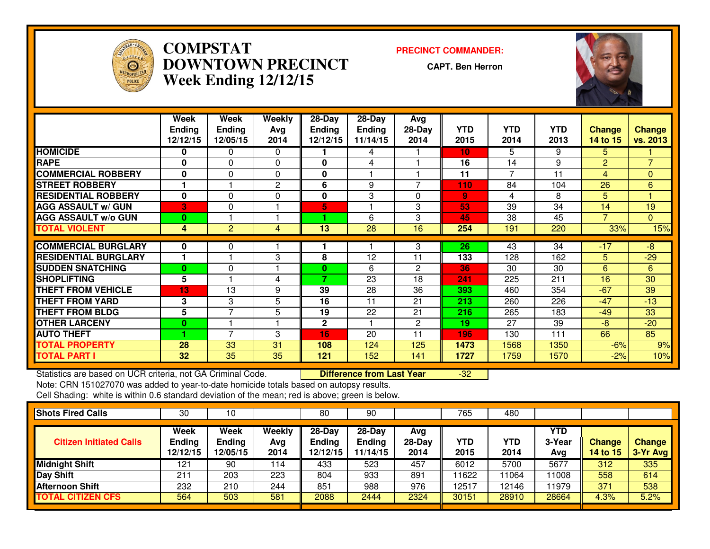

## **COMPSTAT PRECINCT COMMANDER: DOWNTOWN PRECINCTWeek Ending 12/12/15**

**CAPT. Ben Herron**



|                             | Week          | Week           | Weekly   | 28-Day        | 28-Day        | Avg            |                 |            |            |                |                |
|-----------------------------|---------------|----------------|----------|---------------|---------------|----------------|-----------------|------------|------------|----------------|----------------|
|                             | <b>Ending</b> | <b>Ending</b>  | Avg      | <b>Ending</b> | <b>Ending</b> | $28-Day$       | <b>YTD</b>      | <b>YTD</b> | <b>YTD</b> | <b>Change</b>  | <b>Change</b>  |
|                             | 12/12/15      | 12/05/15       | 2014     | 12/12/15      | 11/14/15      | 2014           | 2015            | 2014       | 2013       | 14 to 15       | vs. 2013       |
| <b>HOMICIDE</b>             | 0             | 0              | $\Omega$ |               | 4             |                | 10 <sub>1</sub> | 5.         | 9          | 5.             |                |
| <b>RAPE</b>                 | 0             | 0              | 0        | 0             | 4             |                | 16              | 14         | 9          | $\overline{2}$ | $\overline{7}$ |
| <b>COMMERCIAL ROBBERY</b>   | 0             | 0              | $\Omega$ | 0             |               |                | 11              | ⇁          | 11         | 4              | $\Omega$       |
| <b>STREET ROBBERY</b>       |               |                | 2        | 6             | 9             |                | 110             | 84         | 104        | 26             | 6              |
| <b>RESIDENTIAL ROBBERY</b>  | 0             | 0              | $\Omega$ | 0             | 3             | 0              | 9               | 4          | 8          | 5.             | 4              |
| <b>AGG ASSAULT W/ GUN</b>   | 3             | $\Omega$       |          | 5             |               | 3              | 53              | 39         | 34         | 14             | 19             |
| <b>AGG ASSAULT w/o GUN</b>  | 0             |                |          |               | 6             | 3              | 45              | 38         | 45         | ⇁              | $\overline{0}$ |
| <b>TOTAL VIOLENT</b>        | 4             | $\overline{c}$ | 4        | 13            | 28            | 16             | 254             | 191        | 220        | 33%            | 15%            |
| <b>COMMERCIAL BURGLARY</b>  | 0             | 0              |          |               |               | 3              | 26              | 43         | 34         | $-17$          | -8             |
| <b>RESIDENTIAL BURGLARY</b> |               |                | 3        | 8             | 12            | 11             | 133             | 128        | 162        | 5.             | $-29$          |
|                             |               |                |          |               |               |                |                 |            |            |                |                |
| <b>SUDDEN SNATCHING</b>     | $\bf{0}$      | 0              |          | 0             | 6             | $\overline{2}$ | 36              | 30         | 30         | 6              | 6              |
| <b>SHOPLIFTING</b>          | 5             |                | 4        | 7             | 23            | 18             | 241             | 225        | 211        | 16             | 30             |
| <b>THEFT FROM VEHICLE</b>   | 13            | 13             | 9        | 39            | 28            | 36             | 393             | 460        | 354        | $-67$          | 39             |
| <b>THEFT FROM YARD</b>      | 3             | 3              | 5        | 16            | 11            | 21             | 213             | 260        | 226        | $-47$          | $-13$          |
| <b>THEFT FROM BLDG</b>      | 5             | $\overline{7}$ | 5        | 19            | 22            | 21             | 216             | 265        | 183        | $-49$          | 33             |
| <b>OTHER LARCENY</b>        | $\bf{0}$      |                |          | 2             |               | $\overline{2}$ | 19              | 27         | 39         | $-8$           | $-20$          |
| <b>AUTO THEFT</b>           |               | $\overline{7}$ | 3        | 16            | 20            | 11             | 196             | 130        | 111        | 66             | 85             |
| <b>TOTAL PROPERTY</b>       | 28            | 33             | 31       | 108           | 124           | 125            | 1473            | 1568       | 1350       | $-6%$          | 9%             |
| <b>TOTAL PART I</b>         | 32            | 35             | 35       | 121           | 152           | 141            | 1727            | 1759       | 1570       | $-2%$          | 10%            |

Statistics are based on UCR criteria, not GA Criminal Code. **Difference from Last Year**  -32Note: CRN 151027070 was added to year-to-date homicide totals based on autopsy results.

| <b>Shots Fired Calls</b>       | 30                                | 10                         |                       | 80                                    | 90                                    |                         | 765         | 480         |                             |                           |                           |
|--------------------------------|-----------------------------------|----------------------------|-----------------------|---------------------------------------|---------------------------------------|-------------------------|-------------|-------------|-----------------------------|---------------------------|---------------------------|
| <b>Citizen Initiated Calls</b> | Week<br><b>Ending</b><br>12/12/15 | Week<br>Ending<br>12/05/15 | Weekly<br>Avg<br>2014 | $28-Day$<br><b>Ending</b><br>12/12/15 | $28-Day$<br><b>Ending</b><br>11/14/15 | Avg<br>$28-Day$<br>2014 | YTD<br>2015 | YTD<br>2014 | <b>YTD</b><br>3-Year<br>Avg | Change<br><b>14 to 15</b> | <b>Change</b><br>3-Yr Avg |
| <b>Midnight Shift</b>          | 121                               | 90                         | 114                   | 433                                   | 523                                   | 457                     | 6012        | 5700        | 5677                        | 312                       | 335                       |
| <b>Day Shift</b>               | $21^{\circ}$                      | 203                        | 223                   | 804                                   | 933                                   | 891                     | 11622       | 1064        | 11008                       | 558                       | 614                       |
| <b>Afternoon Shift</b>         | 232                               | 210                        | 244                   | 851                                   | 988                                   | 976                     | 12517       | 12146       | 11979                       | 371                       | 538                       |
| <b>TOTAL CITIZEN CFS</b>       | 564                               | 503                        | 581                   | 2088                                  | 2444                                  | 2324                    | 30151       | 28910       | 28664                       | 4.3%                      | 5.2%                      |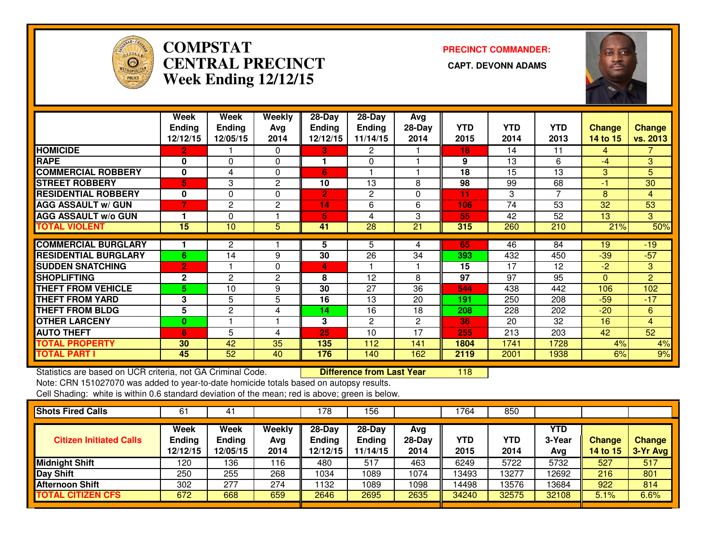

# **COMPSTAT PRECINCT COMMANDER: CENTRAL PRECINCT CAPT. DEVONN ADAMSWeek Ending 12/12/15**



|                             | Week<br><b>Ending</b><br>12/12/15 | Week<br><b>Ending</b><br>12/05/15 | Weekly<br>Ava<br>2014 | $28$ -Day<br><b>Ending</b><br>12/12/15 | $28$ -Day<br><b>Ending</b><br>11/14/15 | Avg<br>$28-Day$<br>2014 | <b>YTD</b><br>2015 | <b>YTD</b><br>2014 | <b>YTD</b><br>2013 | <b>Change</b><br>14 to 15 | <b>Change</b><br>vs. 2013 |
|-----------------------------|-----------------------------------|-----------------------------------|-----------------------|----------------------------------------|----------------------------------------|-------------------------|--------------------|--------------------|--------------------|---------------------------|---------------------------|
| <b>HOMICIDE</b>             | $\mathbf{2}$                      |                                   | $\Omega$              | 3                                      | 2                                      |                         | 18                 | 14                 | 11                 | 4                         | 7.                        |
| <b>RAPE</b>                 | 0                                 | $\Omega$                          | $\Omega$              |                                        | 0                                      |                         | 9                  | 13                 | 6                  | -4                        | 3 <sup>°</sup>            |
| <b>COMMERCIAL ROBBERY</b>   | $\bf{0}$                          | 4                                 | 0                     | 6                                      |                                        |                         | 18                 | 15                 | 13                 | 3                         | 5                         |
| <b>ISTREET ROBBERY</b>      | 5                                 | 3                                 | 2                     | 10                                     | 13                                     | 8                       | 98                 | 99                 | 68                 | $-1$                      | 30                        |
| <b>RESIDENTIAL ROBBERY</b>  | $\bf{0}$                          | $\Omega$                          | 0                     | $\overline{2}$                         | 2                                      | 0                       | 11                 | 3                  | 7                  | 8                         | 4                         |
| <b>AGG ASSAULT w/ GUN</b>   | 7                                 | 2                                 | $\overline{2}$        | 14                                     | 6                                      | 6                       | 106                | 74                 | 53                 | 32                        | 53                        |
| <b>AGG ASSAULT w/o GUN</b>  |                                   | $\Omega$                          |                       | 5                                      | 4                                      | 3                       | 55                 | 42                 | 52                 | 13                        | 3                         |
| <b>TOTAL VIOLENT</b>        | 15                                | 10                                | 5                     | 41                                     | 28                                     | 21                      | 315                | 260                | 210                | 21%                       | 50%                       |
|                             |                                   |                                   |                       |                                        |                                        |                         |                    |                    |                    |                           |                           |
| <b>COMMERCIAL BURGLARY</b>  |                                   | 2                                 |                       | 5                                      | 5                                      | 4                       | 65                 | 46                 | 84                 | 19                        | $-19$                     |
| <b>RESIDENTIAL BURGLARY</b> | 6                                 | 14                                | 9                     | 30                                     | 26                                     | 34                      | 393                | 432                | 450                | $-39$                     | $-57$                     |
| <b>SUDDEN SNATCHING</b>     | $\overline{2}$                    |                                   | $\mathbf{0}$          | 4                                      |                                        |                         | 15                 | 17                 | 12                 | $-2$                      | 3                         |
| <b>ISHOPLIFTING</b>         | $\mathbf{2}$                      | 2                                 | $\overline{2}$        | 8                                      | 12                                     | 8                       | 97                 | 97                 | 95                 | $\Omega$                  | 2                         |
| <b>THEFT FROM VEHICLE</b>   | 5.                                | 10                                | 9                     | 30                                     | 27                                     | 36                      | 544                | 438                | 442                | 106                       | 102                       |
| <b>THEFT FROM YARD</b>      | 3                                 | 5                                 | 5                     | 16                                     | 13                                     | 20                      | 191                | 250                | 208                | $-59$                     | $-17$                     |
| <b>THEFT FROM BLDG</b>      | 5                                 | $\mathbf{2}$                      | 4                     | 14                                     | 16                                     | 18                      | 208                | 228                | 202                | $-20$                     | 6                         |
| <b>OTHER LARCENY</b>        | 0                                 |                                   |                       | 3                                      | 2                                      | 2                       | 36                 | 20                 | 32                 | 16                        | $\overline{4}$            |
| <b>AUTO THEFT</b>           | 6                                 | 5                                 | 4                     | 25                                     | 10                                     | 17                      | 255                | 213                | 203                | 42                        | 52                        |
| <b>TOTAL PROPERTY</b>       | 30                                | 42                                | 35                    | 135                                    | 112                                    | 141                     | 1804               | 1741               | 1728               | 4%                        | 4%                        |
| <b>TOTAL PART I</b>         | 45                                | 52                                | 40                    | 176                                    | 140                                    | 162                     | 2119               | 2001               | 1938               | 6%                        | 9%                        |

Statistics are based on UCR criteria, not GA Criminal Code. **Difference from Last Year** <sup>118</sup>

Note: CRN 151027070 was added to year-to-date homicide totals based on autopsy results.

| <b>Shots Fired Calls</b>       | 6.                                | 4                                 |                              | 78                           | 156                                   |                       | 764         | 850                |                      |                           |                           |
|--------------------------------|-----------------------------------|-----------------------------------|------------------------------|------------------------------|---------------------------------------|-----------------------|-------------|--------------------|----------------------|---------------------------|---------------------------|
| <b>Citizen Initiated Calls</b> | Week<br><b>Ending</b><br>12/12/15 | Week<br><b>Ending</b><br>12/05/15 | <b>Weekly</b><br>Ava<br>2014 | 28-Day<br>Ending<br>12/12/15 | $28-Dav$<br><b>Ending</b><br>11/14/15 | Avg<br>28-Day<br>2014 | YTD<br>2015 | <b>YTD</b><br>2014 | YTD<br>3-Year<br>Avg | Change<br><b>14 to 15</b> | <b>Change</b><br>3-Yr Avg |
| <b>Midnight Shift</b>          | 120                               | 136                               | 116                          | 480                          | 517                                   | 463                   | 6249        | 5722               | 5732                 | 527                       | 517                       |
| <b>Day Shift</b>               | 250                               | 255                               | 268                          | 1034                         | 1089                                  | 1074                  | 13493       | 13277              | 12692                | 216                       | 801                       |
| <b>Afternoon Shift</b>         | 302                               | 277                               | 274                          | 132                          | 1089                                  | 1098                  | 14498       | 13576              | 13684                | 922                       | 814                       |
| <b>TOTAL CITIZEN CFS</b>       | 672                               | 668                               | 659                          | 2646                         | 2695                                  | 2635                  | 34240       | 32575              | 32108                | 5.1%                      | 6.6%                      |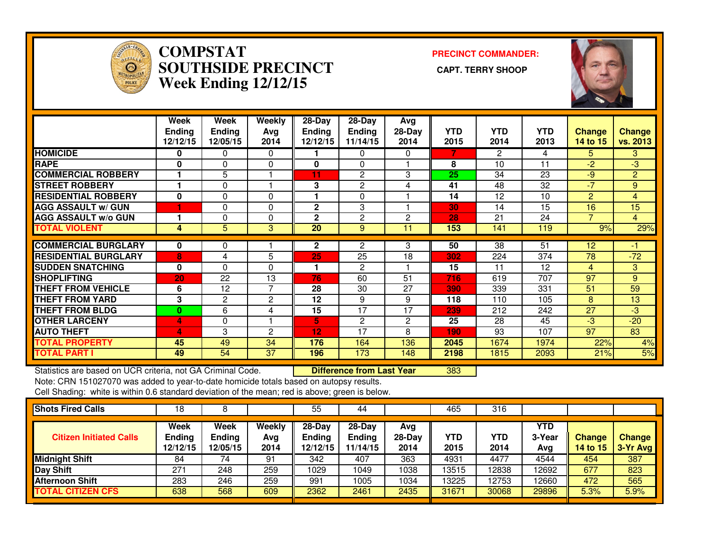

## **COMPSTAT PRECINCT COMMANDER: SOUTHSIDE PRECINCT CAPT. TERRY SHOOPWeek Ending 12/12/15**



|                                                             | Week<br><b>Ending</b><br>12/12/15 | Week<br><b>Ending</b><br>12/05/15 | Weekly<br>Avg<br>2014 | $28 - Day$<br><b>Ending</b><br>12/12/15 | 28-Day<br><b>Ending</b><br>11/14/15 | Avg<br>$28-Day$<br>2014 | <b>YTD</b><br>2015 | <b>YTD</b><br>2014 | <b>YTD</b><br>2013 | <b>Change</b><br>14 to 15 | <b>Change</b><br>vs. 2013 |
|-------------------------------------------------------------|-----------------------------------|-----------------------------------|-----------------------|-----------------------------------------|-------------------------------------|-------------------------|--------------------|--------------------|--------------------|---------------------------|---------------------------|
| <b>HOMICIDE</b>                                             | 0                                 | $\Omega$                          | $\mathbf 0$           |                                         | 0                                   | 0                       | 7                  | $\overline{2}$     | 4                  | 5.                        | 3                         |
| <b>RAPE</b>                                                 | 0                                 | 0                                 | 0                     | 0                                       | 0                                   |                         | 8                  | 10                 | 11                 | $-2$                      | $-3$                      |
| <b>COMMERCIAL ROBBERY</b>                                   |                                   | 5                                 | 1                     | 11                                      | $\mathbf{2}$                        | 3                       | 25                 | 34                 | 23                 | $-9$                      | $\overline{2}$            |
| <b>STREET ROBBERY</b>                                       | 1                                 | $\Omega$                          | $\overline{1}$        | 3                                       | $\overline{c}$                      | 4                       | 41                 | 48                 | 32                 | $-7$                      | 9                         |
| <b>RESIDENTIAL ROBBERY</b>                                  | $\mathbf 0$                       | $\Omega$                          | $\Omega$              |                                         | $\Omega$                            |                         | 14                 | 12                 | 10                 | $\overline{2}$            | 4                         |
| <b>AGG ASSAULT w/ GUN</b>                                   |                                   | 0                                 | 0                     | $\overline{2}$                          | 3                                   |                         | 30                 | 14                 | 15                 | 16                        | 15                        |
| <b>AGG ASSAULT w/o GUN</b>                                  |                                   | 0                                 | 0                     | $\overline{2}$                          | $\overline{c}$                      | $\overline{c}$          | 28                 | 21                 | 24                 | $\overline{7}$            | $\overline{4}$            |
| <b>TOTAL VIOLENT</b>                                        | 4                                 | 5                                 | 3                     | $\overline{20}$                         | 9                                   | 11                      | 153                | 141                | 119                | 9%                        | 29%                       |
| <b>COMMERCIAL BURGLARY</b>                                  | 0                                 | 0                                 |                       | $\mathbf{2}$                            | 2                                   | 3                       | 50                 | 38                 | 51                 | 12                        | $-1$                      |
| <b>RESIDENTIAL BURGLARY</b>                                 | 8                                 | 4                                 | 5                     | 25                                      | $\overline{25}$                     | $\overline{18}$         | 302                | 224                | $\overline{374}$   | $\overline{78}$           | $-72$                     |
| <b>SUDDEN SNATCHING</b>                                     |                                   |                                   |                       |                                         |                                     |                         |                    | 11                 |                    |                           |                           |
|                                                             | 0                                 | $\Omega$                          | 0                     |                                         | 2                                   |                         | 15                 |                    | 12                 | 4                         | 3                         |
| <b>SHOPLIFTING</b>                                          | 20                                | $\overline{22}$                   | $\overline{13}$       | 76                                      | 60                                  | 51                      | 716                | 619                | 707                | 97                        | 9                         |
| <b>THEFT FROM VEHICLE</b>                                   | 6                                 | 12                                | 7                     | 28                                      | $\overline{30}$                     | 27                      | 390                | 339                | 331                | 51                        | 59                        |
| <b>THEFT FROM YARD</b>                                      | 3                                 | 2                                 | 2                     | 12                                      | 9                                   | 9                       | 118                | 110                | 105                | 8                         | 13                        |
| <b>THEFT FROM BLDG</b>                                      | 0                                 | 6                                 | 4                     | 15                                      | 17                                  | 17                      | 239                | 212                | 242                | 27                        | $-3$                      |
| <b>OTHER LARCENY</b>                                        | 4                                 | 0                                 |                       | 5.                                      | $\overline{2}$                      | $\overline{c}$          | 25                 | 28                 | 45                 | $-3$                      | $-20$                     |
| <b>AUTO THEFT</b>                                           | 4                                 | 3                                 | 2                     | 12                                      | 17                                  | 8                       | 190                | 93                 | 107                | $\overline{97}$           | 83                        |
| <b>TOTAL PROPERTY</b>                                       | 45                                | 49                                | 34                    | $\overline{\mathbf{176}}$               | 164                                 | 136                     | 2045               | 1674               | 1974               | 22%                       | 4%                        |
| <b>TOTAL PART I</b>                                         | 49                                | 54                                | 37                    | 196                                     | 173                                 | 148                     | 2198               | 1815               | 2093               | 21%                       | 5%                        |
| Statistics are based on UCR criteria, not GA Criminal Code. |                                   |                                   |                       |                                         | <b>Difference from Last Year</b>    |                         | 383                |                    |                    |                           |                           |

Statistics are based on UCR criteria, not GA Criminal Code. **Difference from Last Year** 

Note: CRN 151027070 was added to year-to-date homicide totals based on autopsy results.

| <b>Shots Fired Calls</b>       | 18                                |                                          |                              | 55                                      | 44                                    |                         | 465                | 316         |                      |                           |                           |
|--------------------------------|-----------------------------------|------------------------------------------|------------------------------|-----------------------------------------|---------------------------------------|-------------------------|--------------------|-------------|----------------------|---------------------------|---------------------------|
| <b>Citizen Initiated Calls</b> | Week<br><b>Ending</b><br>12/12/15 | <b>Week</b><br><b>Ending</b><br>12/05/15 | <b>Weekly</b><br>Avg<br>2014 | $28 - Day$<br><b>Ending</b><br>12/12/15 | $28-Dav$<br><b>Ending</b><br>11/14/15 | Ava<br>$28-Day$<br>2014 | <b>YTD</b><br>2015 | YTD<br>2014 | YTD<br>3-Year<br>Avg | <b>Change</b><br>14 to 15 | <b>Change</b><br>3-Yr Avg |
| <b>Midnight Shift</b>          | 84                                | 74                                       | 91                           | 342                                     | 407                                   | 363                     | 4931               | 4477        | 4544                 | 454                       | 387                       |
| Day Shift                      | 271                               | 248                                      | 259                          | 1029                                    | 1049                                  | 1038                    | 13515              | 12838       | 12692                | 677                       | 823                       |
| <b>Afternoon Shift</b>         | 283                               | 246                                      | 259                          | 991                                     | 1005                                  | 1034                    | 13225              | 12753       | 12660                | 472                       | 565                       |
| <b>TOTAL CITIZEN CFS</b>       | 638                               | 568                                      | 609                          | 2362                                    | 2461                                  | 2435                    | 31671              | 30068       | 29896                | 5.3%                      | 5.9%                      |
|                                |                                   |                                          |                              |                                         |                                       |                         |                    |             |                      |                           |                           |